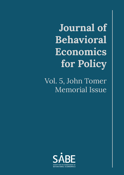**Journal of Behavioral Economics for Policy**

Vol. 5, John Tomer Memorial Issue

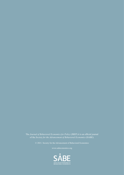The *Journal of Behavioral Economics for Policy* (JBEP) it is an official journal of the *Society for the Advancement of Behavioral Economics* (SABE)*.*

© 2021. Society for the Advancement of Behavioral Economics

www.sabeconomics.org

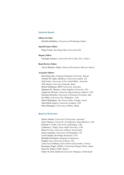## Editorial Board

### **Editor-in-Chief**

Michelle Baddeley, *University of Technology Sydney*

## **Special Issues Editor**

Roger Frantz, *San Diego State University,USA*

#### **Deputy Editor**

Giuseppe Attanasi, *Université Côte d'Azur, Nice, France*

#### **Book Review Editor**

Alexis Belianin, *Higher School of Economics Moscow, Russia*

#### **Associate Editors**

Shu-Heng Chen, *National Chengchi University, Taiwan* Antonio M. Espín, *Middlesex University London, UK* Gigi Foster, *University of New South Wales, Australia* Tere Garcia, *University Granada, Spain* Robert Hoffmann, *RMIT University, Australia* Shabnam M. Mousavi, *Johns Hopkins University, USA* Angela de Oliveira, *University Massachusetts Amherst, USA* Salvatore Rizzello, *University of Piemonte Orientale, Italy* Joe Sabia, *University New Hampshire, USA* Shosh Shahrabani, *The Yezreel Valley College, Israel* John Smith, *Rutgers University-Camden, USA* Marie Briguglio, *University of Malta, Malta*

## Board of Directors

Morris Altman, *University of Newcastle, Australia* Gary Charness, *University of California, Santa Barbara, USA* Richard T. Curtin, *University of Michigan, USA* Catherine C. Eckel, *Texas A&M University, USA* Bruno S. Frey, *University of Basel, Switzerland* Simon Gaechter, *University of Nottingham, UK* Carol Graham, *Brookings Institution, USA* Benedikt Herrmann, *European Commission* Stephen Lea, *University of Exeter, UK* Louis Levy-Garboua, *Paris School of Economics, France* Rosemarie Nagel, *ICREA, Universitat Pompeu Fabra, Spain* Susan W. Parker, *CIDE, Mexico* Esther M. Sent, *Radboud University Nijmegen, Netherlands*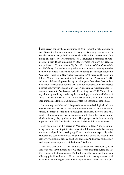## Introduction to John Tomer: His Legacy Lives On

These essays honour the contributions of John Tomer the scholar, but also John Tomer the leader and mentor to many of his younger colleagues. He was also a dear friend, who I've known since 1988. I first encountered John during an impressive Advancement of Behavioural Economics (SABE) meeting in San Diego organized by Roger Frantz. I'd only just read his new published, *Organizational Capital: The Path to Higher Productivity and Well-being*. But we became good friends soon after a meeting to revive the newly defunct SABE which took place during an American Economic Association meeting in New Orleans, January 1992, organized by John and Shlomo Maital. John became the first, and long serving President of SABE and under his leadership saw the organization grow from about 30 members in its newly reconstituted form to well over 400 members. John participated in just about every SABE and joint SABE/International Association for Research in Economic Psychology (IAREP) meeting since 1992. We would always hook up and hang out during these meetings, very often with his wife Doris. This was all part of a mission to establish and maintain a rigorous, open-minded academic organization devoted to behavioural economics.

I should say that John and I disagreed on many methodological and even organizational issues. But was so important about John was his open-mindedness, his imbued sense of methodological pluralism, his view that what counts is the person and her or his research not where they came from or which university they graduated from. This perspective is fundamentally important to SABE. This is what provides SABE with its distinctiveness.

John spent most of his career in Manhattan College. And, in spite of being in a more teaching-intensive university, John remained a heavy-duty researcher and publisher, making significant contributions, especially in behavioural and social economics. He published five books and around sixty peer reviewed journal articles and book chapters. And he was still actively working on research projects at the time of his death.

John was born July 11, 1942 and passed away on December 7, 2019. This was only three months after we met for the last time during his last SABE meeting that took place in Dublin, Ireland. He made this trip in spite of being quite ill with cancer. He was determined to once again meet with his friends and colleagues, make new acquaintances, attend sessions (and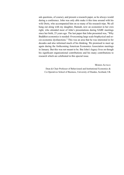ask questions, of course), and present a research paper, as he always would during a conference. John was only able make it this time around with his wife Doris, who accompanied him on so many of his research trips. We all hung out along with my daughter, Hannah, now an economist in her own right, who attended most of John's presentations during SABE meetings since her birth, 25 years ago. The last paper that John presented was, "Why Buddhist economics is needed: Overcoming large scale biophysical and socio-economic dysfunctions." This was an area that he was interested in for decades and also informed much of his thinking. We promised to meet up again during the forthcoming American Economics Association meetings in January. But this was not meant to be. But John's legacy lives on though his significant organizational contributions and his many contributions to research which are celebrated in this special issue.

Morris Altman

Dean & Chair Professor of Behavioural and Institutional Economics & Co-Operatives School of Business, University of Dundee, Scotland, UK